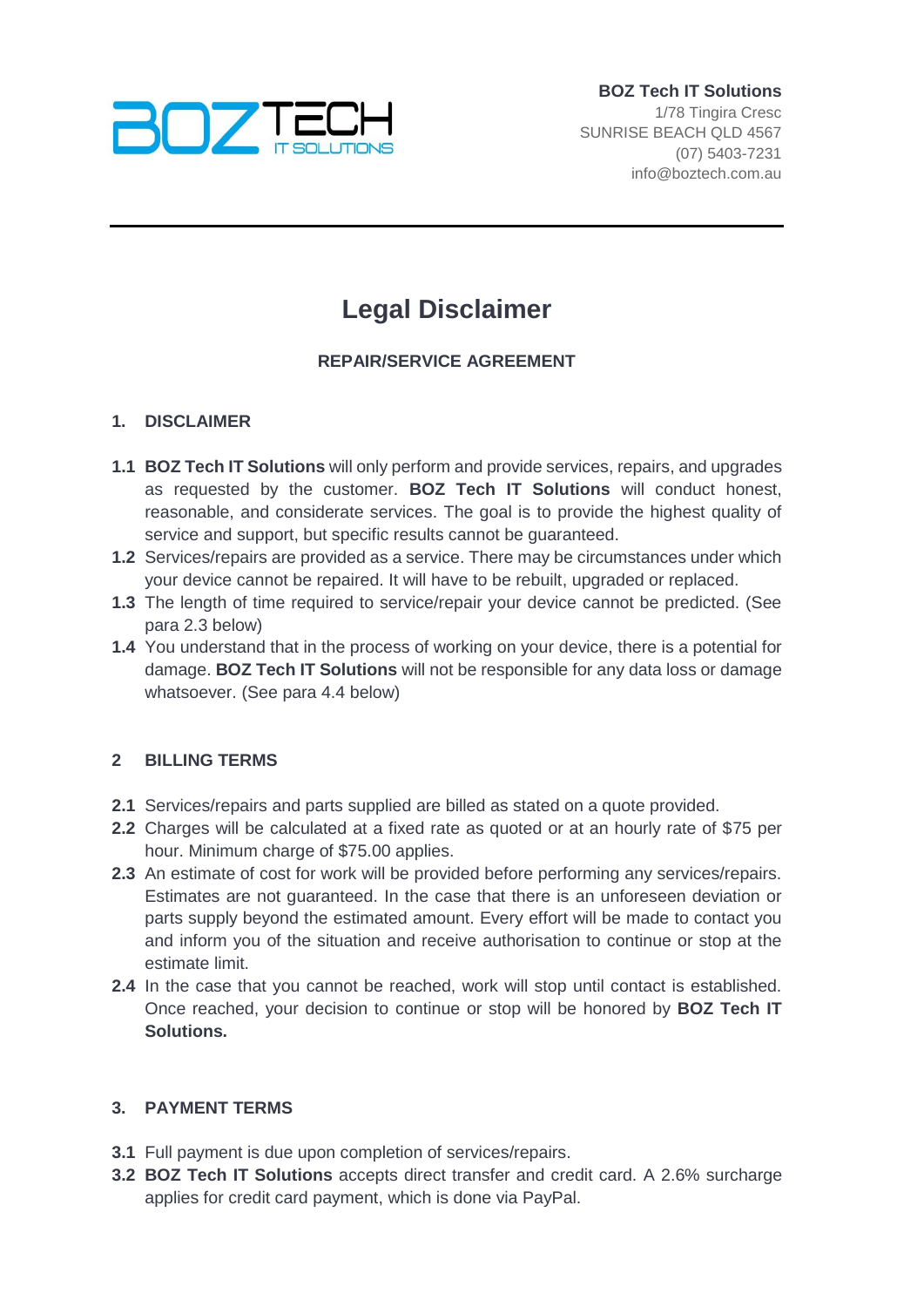

# **Legal Disclaimer**

## **REPAIR/SERVICE AGREEMENT**

## **1. DISCLAIMER**

- **1.1 BOZ Tech IT Solutions** will only perform and provide services, repairs, and upgrades as requested by the customer. **BOZ Tech IT Solutions** will conduct honest, reasonable, and considerate services. The goal is to provide the highest quality of service and support, but specific results cannot be guaranteed.
- **1.2** Services/repairs are provided as a service. There may be circumstances under which your device cannot be repaired. It will have to be rebuilt, upgraded or replaced.
- **1.3** The length of time required to service/repair your device cannot be predicted. (See para 2.3 below)
- **1.4** You understand that in the process of working on your device, there is a potential for damage. **BOZ Tech IT Solutions** will not be responsible for any data loss or damage whatsoever. (See para 4.4 below)

#### **2 BILLING TERMS**

- **2.1** Services/repairs and parts supplied are billed as stated on a quote provided.
- **2.2** Charges will be calculated at a fixed rate as quoted or at an hourly rate of \$75 per hour. Minimum charge of \$75.00 applies.
- **2.3** An estimate of cost for work will be provided before performing any services/repairs. Estimates are not guaranteed. In the case that there is an unforeseen deviation or parts supply beyond the estimated amount. Every effort will be made to contact you and inform you of the situation and receive authorisation to continue or stop at the estimate limit.
- **2.4** In the case that you cannot be reached, work will stop until contact is established. Once reached, your decision to continue or stop will be honored by **BOZ Tech IT Solutions.**

#### **3. PAYMENT TERMS**

- **3.1** Full payment is due upon completion of services/repairs.
- **3.2 BOZ Tech IT Solutions** accepts direct transfer and credit card. A 2.6% surcharge applies for credit card payment, which is done via PayPal.